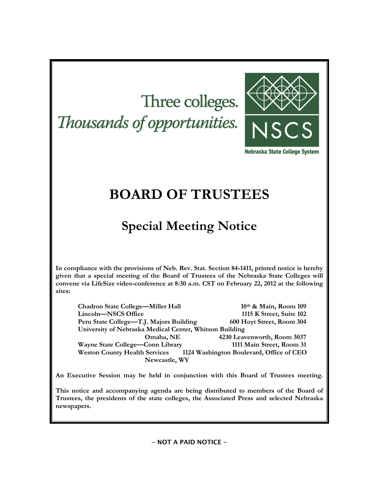# Three colleges. Thousands of opportunities.



Nebraska State College System

# **BOARD OF TRUSTEES**

# **Special Meeting Notice**

**In compliance with the provisions of Neb. Rev. Stat. Section 84-1411, printed notice is hereby given that a special meeting of the Board of Trustees of the Nebraska State Colleges will convene via LifeSize video-conference at 8:30 a.m. CST on February 22, 2012 at the following sites:** 

**Chadron State College—Miller Hall 10th & Main, Room 109 Lincoln—NSCS Office 1115 K Street, Suite 102 Peru State College—T.J. Majors Building 600 Hoyt Street, Room 304 University of Nebraska Medical Center, Whitson Building Omaha, NE 4230 Leavenworth, Room 3037 Wayne State College—Conn Library 1111 Main Street, Room 31 Weston County Health Services 1124 Washington Boulevard, Office of CEO Newcastle, WY**

**An Executive Session may be held in conjunction with this Board of Trustees meeting.**

**This notice and accompanying agenda are being distributed to members of the Board of Trustees, the presidents of the state colleges, the Associated Press and selected Nebraska newspapers.**

-- NOT A PAID NOTICE --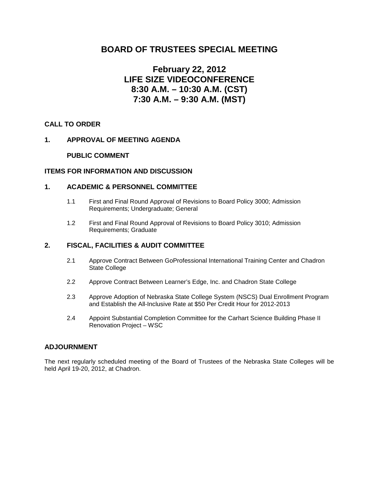# **BOARD OF TRUSTEES SPECIAL MEETING**

# **February 22, 2012 LIFE SIZE VIDEOCONFERENCE 8:30 A.M. – 10:30 A.M. (CST) 7:30 A.M. – 9:30 A.M. (MST)**

# **CALL TO ORDER**

# **1. APPROVAL OF MEETING AGENDA**

# **PUBLIC COMMENT**

# **ITEMS FOR INFORMATION AND DISCUSSION**

### **1. ACADEMIC & PERSONNEL COMMITTEE**

- 1.1 First and Final Round Approval of Revisions to Board Policy 3000; Admission Requirements; Undergraduate; General
- 1.2 First and Final Round Approval of Revisions to Board Policy 3010; Admission Requirements; Graduate

# **2. FISCAL, FACILITIES & AUDIT COMMITTEE**

- 2.1 Approve Contract Between GoProfessional International Training Center and Chadron State College
- 2.2 Approve Contract Between Learner's Edge, Inc. and Chadron State College
- 2.3 Approve Adoption of Nebraska State College System (NSCS) Dual Enrollment Program and Establish the All-Inclusive Rate at \$50 Per Credit Hour for 2012-2013
- 2.4 Appoint Substantial Completion Committee for the Carhart Science Building Phase II Renovation Project – WSC

### **ADJOURNMENT**

The next regularly scheduled meeting of the Board of Trustees of the Nebraska State Colleges will be held April 19-20, 2012, at Chadron.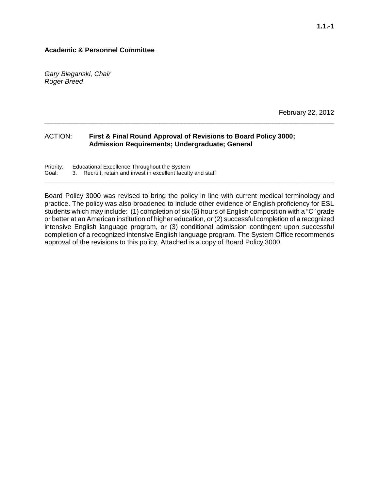# **Academic & Personnel Committee**

*Gary Bieganski, Chair Roger Breed*

February 22, 2012

# ACTION: **First & Final Round Approval of Revisions to Board Policy 3000; Admission Requirements; Undergraduate; General**

Priority: Educational Excellence Throughout the System<br>Goal: 3. Recruit, retain and invest in excellent faculty 3. Recruit, retain and invest in excellent faculty and staff

Board Policy 3000 was revised to bring the policy in line with current medical terminology and practice. The policy was also broadened to include other evidence of English proficiency for ESL students which may include: (1) completion of six (6) hours of English composition with a "C" grade or better at an American institution of higher education, or (2) successful completion of a recognized intensive English language program, or (3) conditional admission contingent upon successful completion of a recognized intensive English language program. The System Office recommends approval of the revisions to this policy. Attached is a copy of Board Policy 3000.

**\_\_\_\_\_\_\_\_\_\_\_\_\_\_\_\_\_\_\_\_\_\_\_\_\_\_\_\_\_\_\_\_\_\_\_\_\_\_\_\_\_\_\_\_\_\_\_\_\_\_\_\_\_\_\_\_\_\_\_\_\_\_\_\_\_\_\_\_\_\_\_\_\_\_\_\_\_**

**\_\_\_\_\_\_\_\_\_\_\_\_\_\_\_\_\_\_\_\_\_\_\_\_\_\_\_\_\_\_\_\_\_\_\_\_\_\_\_\_\_\_\_\_\_\_\_\_\_\_\_\_\_\_\_\_\_\_\_\_\_\_\_\_\_\_\_\_\_\_\_\_\_\_\_\_\_\_\_**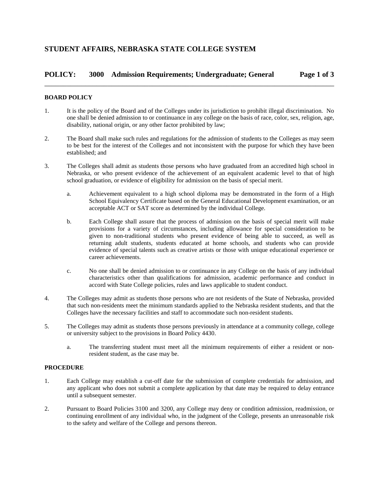# **POLICY: 3000 Admission Requirements; Undergraduate; General Page 1 of 3** \_\_\_\_\_\_\_\_\_\_\_\_\_\_\_\_\_\_\_\_\_\_\_\_\_\_\_\_\_\_\_\_\_\_\_\_\_\_\_\_\_\_\_\_\_\_\_\_\_\_\_\_\_\_\_\_\_\_\_\_\_\_\_\_\_\_\_\_\_\_\_\_\_\_\_\_\_\_

#### **BOARD POLICY**

- 1. It is the policy of the Board and of the Colleges under its jurisdiction to prohibit illegal discrimination. No one shall be denied admission to or continuance in any college on the basis of race, color, sex, religion, age, disability, national origin, or any other factor prohibited by law;
- 2. The Board shall make such rules and regulations for the admission of students to the Colleges as may seem to be best for the interest of the Colleges and not inconsistent with the purpose for which they have been established; and
- 3. The Colleges shall admit as students those persons who have graduated from an accredited high school in Nebraska, or who present evidence of the achievement of an equivalent academic level to that of high school graduation, or evidence of eligibility for admission on the basis of special merit.
	- a. Achievement equivalent to a high school diploma may be demonstrated in the form of a High School Equivalency Certificate based on the General Educational Development examination, or an acceptable ACT or SAT score as determined by the individual College.
	- b. Each College shall assure that the process of admission on the basis of special merit will make provisions for a variety of circumstances, including allowance for special consideration to be given to non-traditional students who present evidence of being able to succeed, as well as returning adult students, students educated at home schools, and students who can provide evidence of special talents such as creative artists or those with unique educational experience or career achievements.
	- c. No one shall be denied admission to or continuance in any College on the basis of any individual characteristics other than qualifications for admission, academic performance and conduct in accord with State College policies, rules and laws applicable to student conduct.
- 4. The Colleges may admit as students those persons who are not residents of the State of Nebraska, provided that such non-residents meet the minimum standards applied to the Nebraska resident students, and that the Colleges have the necessary facilities and staff to accommodate such non-resident students.
- 5. The Colleges may admit as students those persons previously in attendance at a community college, college or university subject to the provisions in Board Policy 4430.
	- a. The transferring student must meet all the minimum requirements of either a resident or nonresident student, as the case may be.

#### **PROCEDURE**

- 1. Each College may establish a cut-off date for the submission of complete credentials for admission, and any applicant who does not submit a complete application by that date may be required to delay entrance until a subsequent semester.
- 2. Pursuant to Board Policies 3100 and 3200, any College may deny or condition admission, readmission, or continuing enrollment of any individual who, in the judgment of the College, presents an unreasonable risk to the safety and welfare of the College and persons thereon.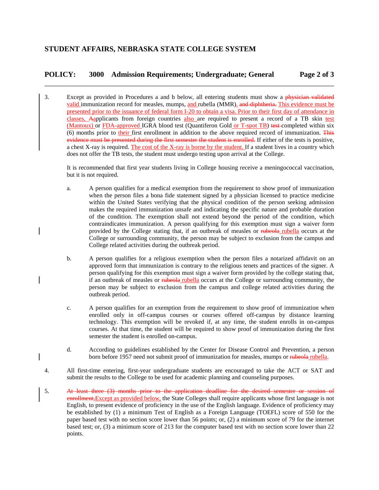# **POLICY: 3000 Admission Requirements; Undergraduate; General Page 2 of 3** \_\_\_\_\_\_\_\_\_\_\_\_\_\_\_\_\_\_\_\_\_\_\_\_\_\_\_\_\_\_\_\_\_\_\_\_\_\_\_\_\_\_\_\_\_\_\_\_\_\_\_\_\_\_\_\_\_\_\_\_\_\_\_\_\_\_\_\_\_\_\_\_\_\_\_\_\_\_

3. Except as provided in Procedures a and b below, all entering students must show a physician validated valid immunization record for measles, mumps, and rubella (MMR). and diphtheria. This evidence must be presented prior to the issuance of federal form I-20 to obtain a visa. Prior to their first day of attendance in classes, Aapplicants from foreign countries also are required to present a record of a TB skin test (Mantoux) or FDA-approved IGRA blood test (Quantiferon Gold or T-spot TB) test completed within six (6) months prior to their first enrollment in addition to the above required record of immunization. This evidence must be presented during the first semester the student is enrolled. If either of the tests is positive, a chest X-ray is required. The cost of the X-ray is borne by the student. If a student lives in a country which does not offer the TB tests, the student must undergo testing upon arrival at the College.

It is recommended that first year students living in College housing receive a meningococcal vaccination, but it is not required.

- a. A person qualifies for a medical exemption from the requirement to show proof of immunization when the person files a bona fide statement signed by a physician licensed to practice medicine within the United States verifying that the physical condition of the person seeking admission makes the required immunization unsafe and indicating the specific nature and probable duration of the condition. The exemption shall not extend beyond the period of the condition, which contraindicates immunization. A person qualifying for this exemption must sign a waiver form provided by the College stating that, if an outbreak of measles or rubeola rubella occurs at the College or surrounding community, the person may be subject to exclusion from the campus and College related activities during the outbreak period.
- b. A person qualifies for a religious exemption when the person files a notarized affidavit on an approved form that immunization is contrary to the religious tenets and practices of the signer. A person qualifying for this exemption must sign a waiver form provided by the college stating that, if an outbreak of measles or rubeola rubella occurs at the College or surrounding community, the person may be subject to exclusion from the campus and college related activities during the outbreak period.
- c. A person qualifies for an exemption from the requirement to show proof of immunization when enrolled only in off-campus courses or courses offered off-campus by distance learning technology. This exemption will be revoked if, at any time, the student enrolls in on-campus courses. At that time, the student will be required to show proof of immunization during the first semester the student is enrolled on-campus.
- d. According to guidelines established by the Center for Disease Control and Prevention, a person born before 1957 need not submit proof of immunization for measles, mumps or rubella.
- 4. All first-time entering, first-year undergraduate students are encouraged to take the ACT or SAT and submit the results to the College to be used for academic planning and counseling purposes.
- 5. At least three (3) months prior to the application deadline for the desired semester or session of enrollment, Except as provided below, the State Colleges shall require applicants whose first language is not English, to present evidence of proficiency in the use of the English language. Evidence of proficiency may be established by (1) a minimum Test of English as a Foreign Language (TOEFL) score of 550 for the paper based test with no section score lower than 56 points; or, (2) a minimum score of 79 for the internet based test; or, (3) a minimum score of 213 for the computer based test with no section score lower than 22 points.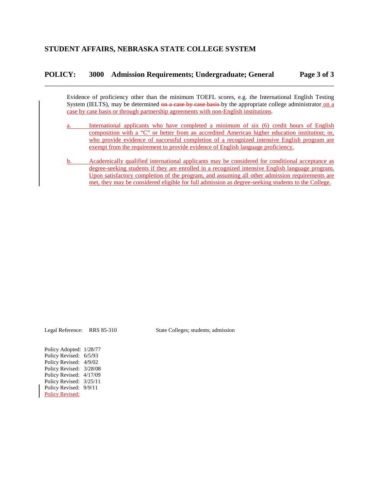# **POLICY: 3000 Admission Requirements; Undergraduate; General Page 3 of 3** \_\_\_\_\_\_\_\_\_\_\_\_\_\_\_\_\_\_\_\_\_\_\_\_\_\_\_\_\_\_\_\_\_\_\_\_\_\_\_\_\_\_\_\_\_\_\_\_\_\_\_\_\_\_\_\_\_\_\_\_\_\_\_\_\_\_\_\_\_\_\_\_\_\_\_\_\_\_

Evidence of proficiency other than the minimum TOEFL scores, e.g. the International English Testing System (IELTS), may be determined on a case by case basis by the appropriate college administrator on a case by case basis or through partnership agreements with non-English institutions.

- a. International applicants who have completed a minimum of six (6) credit hours of English composition with a "C" or better from an accredited American higher education institution; or, who provide evidence of successful completion of a recognized intensive English program are exempt from the requirement to provide evidence of English language proficiency.
- b. Academically qualified international applicants may be considered for conditional acceptance as degree-seeking students if they are enrolled in a recognized intensive English language program. Upon satisfactory completion of the program, and assuming all other admission requirements are met, they may be considered eligible for full admission as degree-seeking students to the College.

Legal Reference: RRS 85-310 State Colleges; students; admission

Policy Adopted: 1/28/77 Policy Revised: 6/5/93 Policy Revised: 4/9/02 Policy Revised:  $3/28/08$ Policy Revised: 4/17/09 Policy Revised: 3/25/11 Policy Revised: 9/9/11 Policy Revised: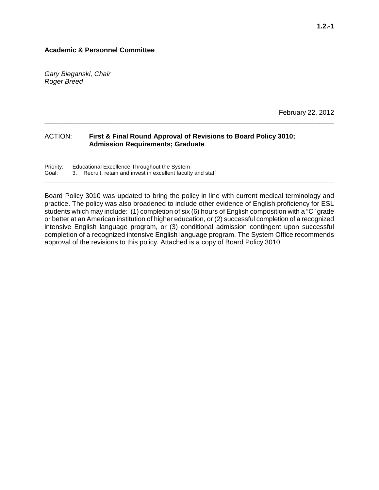# **Academic & Personnel Committee**

*Gary Bieganski, Chair Roger Breed*

February 22, 2012

# ACTION: **First & Final Round Approval of Revisions to Board Policy 3010; Admission Requirements; Graduate**

Priority: Educational Excellence Throughout the System<br>Goal: 3. Recruit, retain and invest in excellent faculty 3. Recruit, retain and invest in excellent faculty and staff

Board Policy 3010 was updated to bring the policy in line with current medical terminology and practice. The policy was also broadened to include other evidence of English proficiency for ESL students which may include: (1) completion of six (6) hours of English composition with a "C" grade or better at an American institution of higher education, or (2) successful completion of a recognized intensive English language program, or (3) conditional admission contingent upon successful completion of a recognized intensive English language program. The System Office recommends approval of the revisions to this policy. Attached is a copy of Board Policy 3010.

**\_\_\_\_\_\_\_\_\_\_\_\_\_\_\_\_\_\_\_\_\_\_\_\_\_\_\_\_\_\_\_\_\_\_\_\_\_\_\_\_\_\_\_\_\_\_\_\_\_\_\_\_\_\_\_\_\_\_\_\_\_\_\_\_\_\_\_\_\_\_\_\_\_\_\_\_\_**

**\_\_\_\_\_\_\_\_\_\_\_\_\_\_\_\_\_\_\_\_\_\_\_\_\_\_\_\_\_\_\_\_\_\_\_\_\_\_\_\_\_\_\_\_\_\_\_\_\_\_\_\_\_\_\_\_\_\_\_\_\_\_\_\_\_\_\_\_\_\_\_\_\_\_\_\_\_\_\_**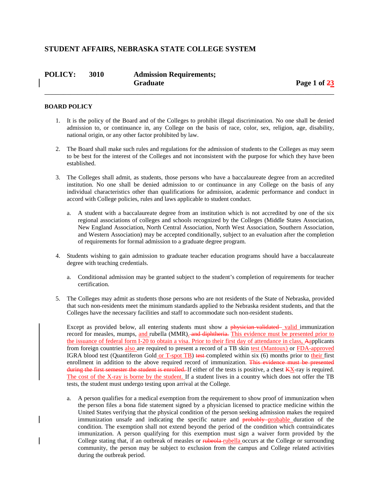# **STUDENT AFFAIRS, NEBRASKA STATE COLLEGE SYSTEM**

| <b>POLICY:</b> | 3010 | <b>Admission Requirements;</b> |              |
|----------------|------|--------------------------------|--------------|
|                |      | Graduate                       | Page 1 of 23 |

\_\_\_\_\_\_\_\_\_\_\_\_\_\_\_\_\_\_\_\_\_\_\_\_\_\_\_\_\_\_\_\_\_\_\_\_\_\_\_\_\_\_\_\_\_\_\_\_\_\_\_\_\_\_\_\_\_\_\_\_\_\_\_\_\_\_\_\_\_\_\_\_\_\_\_\_\_\_

#### **BOARD POLICY**

- 1. It is the policy of the Board and of the Colleges to prohibit illegal discrimination. No one shall be denied admission to, or continuance in, any College on the basis of race, color, sex, religion, age, disability, national origin, or any other factor prohibited by law.
- 2. The Board shall make such rules and regulations for the admission of students to the Colleges as may seem to be best for the interest of the Colleges and not inconsistent with the purpose for which they have been established.
- 3. The Colleges shall admit, as students, those persons who have a baccalaureate degree from an accredited institution. No one shall be denied admission to or continuance in any College on the basis of any individual characteristics other than qualifications for admission, academic performance and conduct in accord with College policies, rules and laws applicable to student conduct.
	- a. A student with a baccalaureate degree from an institution which is not accredited by one of the six regional associations of colleges and schools recognized by the Colleges (Middle States Association, New England Association, North Central Association, North West Association, Southern Association, and Western Association) may be accepted conditionally, subject to an evaluation after the completion of requirements for formal admission to a graduate degree program.
- 4. Students wishing to gain admission to graduate teacher education programs should have a baccalaureate degree with teaching credentials.
	- a. Conditional admission may be granted subject to the student's completion of requirements for teacher certification.
- 5. The Colleges may admit as students those persons who are not residents of the State of Nebraska, provided that such non-residents meet the minimum standards applied to the Nebraska resident students, and that the Colleges have the necessary facilities and staff to accommodate such non-resident students.

Except as provided below, all entering students must show a physician-validated valid immunization record for measles, mumps, and rubella (MMR). and diphtheria. This evidence must be presented prior to the issuance of federal form I-20 to obtain a visa. Prior to their first day of attendance in class, Aapplicants from foreign countries also are required to present a record of a TB skin test (Mantoux) or FDA-approved IGRA blood test (Quantiferon Gold or T-spot TB) test-completed within six (6) months prior to their first enrollment in addition to the above required record of immunization. This evidence must be presented during the first semester the student is enrolled. If either of the tests is positive, a chest  $K_{\rm X}$ -ray is required. The cost of the X-ray is borne by the student. If a student lives in a country which does not offer the TB tests, the student must undergo testing upon arrival at the College.

a. A person qualifies for a medical exemption from the requirement to show proof of immunization when the person files a bona fide statement signed by a physician licensed to practice medicine within the United States verifying that the physical condition of the person seeking admission makes the required immunization unsafe and indicating the specific nature and **probably** probable duration of the condition. The exemption shall not extend beyond the period of the condition which contraindicates immunization. A person qualifying for this exemption must sign a waiver form provided by the College stating that, if an outbreak of measles or rubeola rubella occurs at the College or surrounding community, the person may be subject to exclusion from the campus and College related activities during the outbreak period.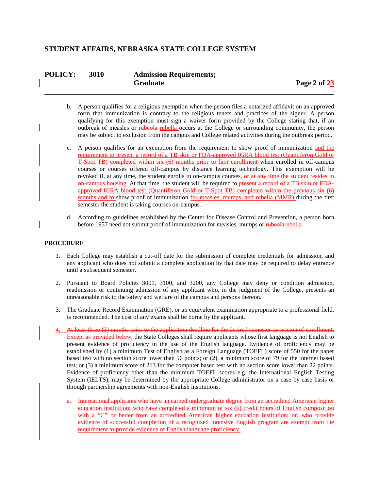# **STUDENT AFFAIRS, NEBRASKA STATE COLLEGE SYSTEM**

| <b>POLICY:</b> | <b>3010</b> | <b>Admission Requirements;</b> |
|----------------|-------------|--------------------------------|
|                |             | <b>Graduate</b>                |

b. A person qualifies for a religious exemption when the person files a notarized affidavit on an approved form that immunization is contrary to the religious tenets and practices of the signer. A person qualifying for this exemption must sign a waiver form provided by the College stating that, if an outbreak of measles or rubeola-rubella occurs at the College or surrounding community, the person may be subject to exclusion from the campus and College related activities during the outbreak period.

\_\_\_\_\_\_\_\_\_\_\_\_\_\_\_\_\_\_\_\_\_\_\_\_\_\_\_\_\_\_\_\_\_\_\_\_\_\_\_\_\_\_\_\_\_\_\_\_\_\_\_\_\_\_\_\_\_\_\_\_\_\_\_\_\_\_\_\_\_\_\_\_\_\_\_\_\_\_

- c. A person qualifies for an exemption from the requirement to show proof of immunization and the requirement to present a record of a TB skin or FDA-approved IGRA blood test (Quantiferon Gold or T-Spot TB) completed within six (6) months prior to first enrollment when enrolled in off-campus courses or courses offered off-campus by distance learning technology. This exemption will be revoked if, at any time, the student enrolls in on-campus courses, or at any time the student resides in on-campus housing. At that time, the student will be required to present a record of a TB skin or FDAapproved IGRA blood test (Quantiferon Gold or T-Spot TB) completed within the previous six (6) months and to show proof of immunization for measles, mumps, and rubella (MMR) during the first semester the student is taking courses on-campus.
- d. According to guidelines established by the Center for Disease Control and Prevention, a person born before 1957 need not submit proof of immunization for measles, mumps or rubeolarubella.

#### **PROCEDURE**

- 1. Each College may establish a cut-off date for the submission of complete credentials for admission, and any applicant who does not submit a complete application by that date may be required to delay entrance until a subsequent semester.
- 2. Pursuant to Board Policies 3001, 3100, and 3200, any College may deny or condition admission, readmission or continuing admission of any applicant who, in the judgment of the College, presents an unreasonable risk to the safety and welfare of the campus and persons thereon.
- 3. The Graduate Record Examination (GRE), or an equivalent examination appropriate to a professional field, is recommended. The cost of any exams shall be borne by the applicant.
- 4. At least three (3) months prior to the application deadline for the desired semester or session of enrollment, Except as provided below, the State Colleges shall require applicants whose first language is not English to present evidence of proficiency in the use of the English language. Evidence of proficiency may be established by (1) a minimum Test of English as a Foreign Language (TOEFL) score of 550 for the paper based test with no section score lower than 56 points; or (2), a minimum score of 79 for the internet based test; or (3) a minimum score of 213 for the computer based test with no section score lower than 22 points. Evidence of proficiency other than the minimum TOEFL scores e.g. the International English Testing System (IELTS), may be determined by the appropriate College administrator on a case by case basis or through partnership agreements with non-English institutions.
	- a. International applicants who have an earned undergraduate degree from an accredited American higher education institution; who have completed a minimum of six (6) credit hours of English composition with a "C" or better from an accredited American higher education institution; or, who provide evidence of successful completion of a recognized intensive English program are exempt from the requirement to provide evidence of English language proficiency.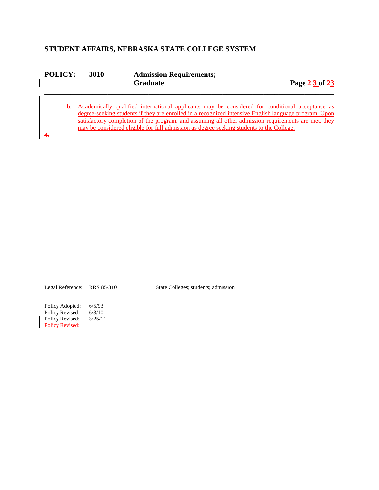# **STUDENT AFFAIRS, NEBRASKA STATE COLLEGE SYSTEM**

| <b>POLICY:</b> | 3010 | <b>Admission Requirements;</b> |                |  |  |
|----------------|------|--------------------------------|----------------|--|--|
|                |      | <b>Graduate</b>                | Page 2-3 of 23 |  |  |
|                |      |                                |                |  |  |

b. Academically qualified international applicants may be considered for conditional acceptance as degree-seeking students if they are enrolled in a recognized intensive English language program. Upon satisfactory completion of the program, and assuming all other admission requirements are met, they may be considered eligible for full admission as degree seeking students to the College.

4.

Legal Reference: RRS 85-310 State Colleges; students; admission

Policy Adopted: 6/5/93<br>Policy Revised: 6/3/10 Policy Revised: 6/3/10<br>Policy Revised: 3/25/11 Policy Revised: Policy Revised: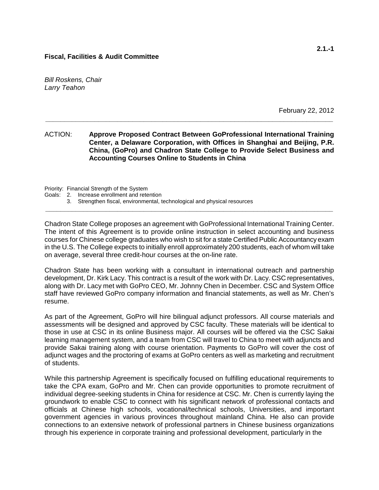*Bill Roskens, Chair Larry Teahon*

February 22, 2012

ACTION: **Approve Proposed Contract Between GoProfessional International Training Center, a Delaware Corporation, with Offices in Shanghai and Beijing, P.R. China, (GoPro) and Chadron State College to Provide Select Business and Accounting Courses Online to Students in China**

**\_\_\_\_\_\_\_\_\_\_\_\_\_\_\_\_\_\_\_\_\_\_\_\_\_\_\_\_\_\_\_\_\_\_\_\_\_\_\_\_\_\_\_\_\_\_\_\_\_\_\_\_\_\_\_\_\_\_\_\_\_\_\_\_\_\_\_\_\_\_\_\_\_\_\_\_**

Priority: Financial Strength of the System

- Goals: 2. Increase enrollment and retention
	- 3. Strengthen fiscal, environmental, technological and physical resources

Chadron State College proposes an agreement with GoProfessional International Training Center. The intent of this Agreement is to provide online instruction in select accounting and business courses for Chinese college graduates who wish to sit for a state Certified Public Accountancy exam in the U.S. The College expects to initially enroll approximately 200 students, each of whom will take on average, several three credit-hour courses at the on-line rate.

**\_\_\_\_\_\_\_\_\_\_\_\_\_\_\_\_\_\_\_\_\_\_\_\_\_\_\_\_\_\_\_\_\_\_\_\_\_\_\_\_\_\_\_\_\_\_\_\_\_\_\_\_\_\_\_\_\_\_\_\_\_\_\_\_\_\_\_\_\_\_\_\_\_\_\_\_**

Chadron State has been working with a consultant in international outreach and partnership development, Dr. Kirk Lacy. This contract is a result of the work with Dr. Lacy. CSC representatives, along with Dr. Lacy met with GoPro CEO, Mr. Johnny Chen in December. CSC and System Office staff have reviewed GoPro company information and financial statements, as well as Mr. Chen's resume.

As part of the Agreement, GoPro will hire bilingual adjunct professors. All course materials and assessments will be designed and approved by CSC faculty. These materials will be identical to those in use at CSC in its online Business major. All courses will be offered via the CSC Sakai learning management system, and a team from CSC will travel to China to meet with adjuncts and provide Sakai training along with course orientation. Payments to GoPro will cover the cost of adjunct wages and the proctoring of exams at GoPro centers as well as marketing and recruitment of students.

While this partnership Agreement is specifically focused on fulfilling educational requirements to take the CPA exam, GoPro and Mr. Chen can provide opportunities to promote recruitment of individual degree-seeking students in China for residence at CSC. Mr. Chen is currently laying the groundwork to enable CSC to connect with his significant network of professional contacts and officials at Chinese high schools, vocational/technical schools, Universities, and important government agencies in various provinces throughout mainland China. He also can provide connections to an extensive network of professional partners in Chinese business organizations through his experience in corporate training and professional development, particularly in the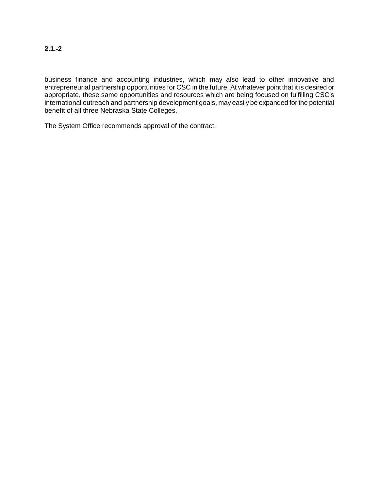business finance and accounting industries, which may also lead to other innovative and entrepreneurial partnership opportunities for CSC in the future. At whatever point that it is desired or appropriate, these same opportunities and resources which are being focused on fulfilling CSC's international outreach and partnership development goals, may easily be expanded for the potential benefit of all three Nebraska State Colleges.

The System Office recommends approval of the contract.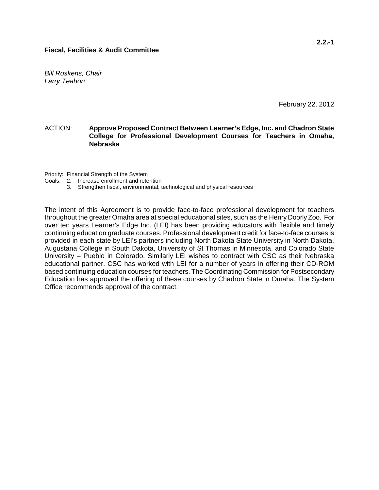*Bill Roskens, Chair Larry Teahon*

February 22, 2012

#### ACTION: **Approve Proposed Contract Between Learner's Edge, Inc. and Chadron State College for Professional Development Courses for Teachers in Omaha, Nebraska**

**\_\_\_\_\_\_\_\_\_\_\_\_\_\_\_\_\_\_\_\_\_\_\_\_\_\_\_\_\_\_\_\_\_\_\_\_\_\_\_\_\_\_\_\_\_\_\_\_\_\_\_\_\_\_\_\_\_\_\_\_\_\_\_\_\_\_\_\_\_\_\_\_\_\_\_\_**

Priority: Financial Strength of the System

Goals: 2. Increase enrollment and retention

3. Strengthen fiscal, environmental, technological and physical resources

The intent of this Agreement is to provide face-to-face professional development for teachers throughout the greater Omaha area at special educational sites, such as the Henry Doorly Zoo. For over ten years Learner's Edge Inc. (LEI) has been providing educators with flexible and timely continuing education graduate courses. Professional development credit for face-to-face courses is provided in each state by LEI's partners including North Dakota State University in North Dakota, Augustana College in South Dakota, University of St Thomas in Minnesota, and Colorado State University – Pueblo in Colorado. Similarly LEI wishes to contract with CSC as their Nebraska educational partner. CSC has worked with LEI for a number of years in offering their CD-ROM based continuing education courses for teachers. The Coordinating Commission for Postsecondary Education has approved the offering of these courses by Chadron State in Omaha. The System Office recommends approval of the contract.

**\_\_\_\_\_\_\_\_\_\_\_\_\_\_\_\_\_\_\_\_\_\_\_\_\_\_\_\_\_\_\_\_\_\_\_\_\_\_\_\_\_\_\_\_\_\_\_\_\_\_\_\_\_\_\_\_\_\_\_\_\_\_\_\_\_\_\_\_\_\_\_\_\_\_\_\_**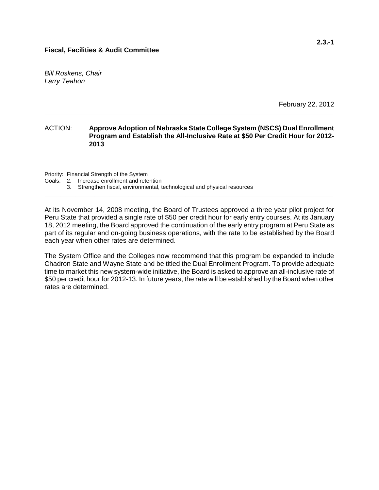*Bill Roskens, Chair Larry Teahon*

February 22, 2012

#### ACTION: **Approve Adoption of Nebraska State College System (NSCS) Dual Enrollment Program and Establish the All-Inclusive Rate at \$50 Per Credit Hour for 2012- 2013**

**\_\_\_\_\_\_\_\_\_\_\_\_\_\_\_\_\_\_\_\_\_\_\_\_\_\_\_\_\_\_\_\_\_\_\_\_\_\_\_\_\_\_\_\_\_\_\_\_\_\_\_\_\_\_\_\_\_\_\_\_\_\_\_\_\_\_\_\_\_\_\_\_\_\_\_\_**

Priority: Financial Strength of the System

Goals: 2. Increase enrollment and retention

3. Strengthen fiscal, environmental, technological and physical resources

At its November 14, 2008 meeting, the Board of Trustees approved a three year pilot project for Peru State that provided a single rate of \$50 per credit hour for early entry courses. At its January 18, 2012 meeting, the Board approved the continuation of the early entry program at Peru State as part of its regular and on-going business operations, with the rate to be established by the Board each year when other rates are determined.

**\_\_\_\_\_\_\_\_\_\_\_\_\_\_\_\_\_\_\_\_\_\_\_\_\_\_\_\_\_\_\_\_\_\_\_\_\_\_\_\_\_\_\_\_\_\_\_\_\_\_\_\_\_\_\_\_\_\_\_\_\_\_\_\_\_\_\_\_\_\_\_\_\_\_\_\_**

The System Office and the Colleges now recommend that this program be expanded to include Chadron State and Wayne State and be titled the Dual Enrollment Program. To provide adequate time to market this new system-wide initiative, the Board is asked to approve an all-inclusive rate of \$50 per credit hour for 2012-13. In future years, the rate will be established by the Board when other rates are determined.